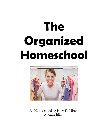# **The Organized Homeschool**



A "Homeschooling How To" Book by Anne Elliott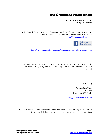### **The Organized Homeschool**

**Copyright 2011 by Anne Elliott All rights reserved**

This e-book is for your own family's personal use. Please do not copy or forward it to others. Additional copies of this e-book may be purchased at [http://FoundationsPress.com.](http://foundationspress.com/)



<https://www.facebook.com/pages/Foundations-Press/177248352344437>

Scripture taken from the HOLY BIBLE, NEW INTERNATIONAL VERSION®. Copyright © 1973, 1978, 1984 Biblica. Used by permission of Zondervan. All rights reserved.

Published by

**Foundations Press** P.O. Box 333 Brownsdale, MN 55918

[http://FoundationsPress.com](http://foundationspress.com/)

All links referenced in this book worked accurately when checked on May 9, 2011. Please notify us if any link does not work so that we may update it in future editions.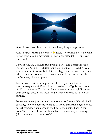

What do you love about this picture? Everything is so peaceful...

Why? Because there is no clutter!  $\bullet$  There is very little noise, no wind hitting your face, no movement of any kind, calm lighting, and very few people.

Now, obviously, God has called you as a wife and homeschooling mother to a "world" of clutter, noise, and people. If He didn't want you to minister to *people* (both little and big), then He would have just called you home to heaven. He has you here for a reason, and "here" can be a very cluttered place!

But can you create a more peaceful "here" by eliminating any **unnecessary** clutter? Do we have to hold on to *things* because we're afraid of the future? Do things give us a sense of security? However, what damage does all the visual and mental clutter do to us and our families?

Sometimes we're just cluttered because we don't see it. We're in it all day long, so we've become numb to it. If you think this might be you, go out your door, walk around the house, then come back in the door. Take note of how your home feels to someone just coming. (Or… maybe even how it *smells*?)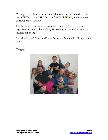To be perfectly honest, sometimes things are just cluttered because we're BUSY — and TIRED — and MOMS!  $\mathcal{V}$  apply my house gets cluttered really fast, too!

In this book, we're going to examine how to make our homes organized. We won't be looking for perfection, but we're certainly looking for peace.

May the God of all peace fill your heart and home with His grace and love!



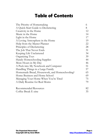## **Table of Contents**

| The Priority of Homemaking                    | 6  |
|-----------------------------------------------|----|
| A Quick-Start Guide to Decluttering           | 8  |
| Creativity in the Home                        | 12 |
| Music in the Home                             | 14 |
| Light in the Home                             | 17 |
| A Loving Atmosphere in the Home               | 19 |
| Help from the Master Planner                  | 22 |
| Principles of Decluttering                    | 28 |
| The Job That Never Ends                       | 31 |
| Keeping Life Uncluttered                      | 34 |
| Organizing Toys                               | 39 |
| Handy Homeschooling Supplies                  | 44 |
| More Hours in My Day                          | 46 |
| A Peek into My Notebook and Computer          | 51 |
| Handling Things in a Large Family             | 57 |
| Homemade Bread, Housework, and Homeschooling? | 65 |
| Home Business and Home School                 | 69 |
| Managing Your Home When You're Tired          | 75 |
| A Daily Routine for Real Moms                 | 79 |
| <b>Recommended Resources</b>                  | 82 |
| Coffee Break E-zine                           | 35 |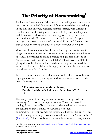## **The Priority of Homemaking<sup>1</sup>**

I will never forget the day I discovered that making my home pretty was part of the will of God for my life! With the dishes stacked high in the sink and on every available kitchen surface, with unfolded laundry piled on the living room floor, with toys scattered upstairs and down, and with overdue bills waiting to be paid, I turned in desperation to the Word of God. I searched for every Scripture passage that spoke about a wife's responsibilities, and I made a list that covered the front and back of a piece of notebook paper.

What I read made me tremble! I realized all my dreams for my life hinged upon my success as a homemaker, for my very reputation was at stake. I determined to make a change and, grabbing a piece of scotch tape, I hung my list on the kitchen cabinet over the sink. I plunged into the dishes and attacked stuck-on grime as I read the verses I had written. Halfway through, I turned the sheet around and read the other side of my list.

Later, as my kitchen shone with cleanliness, I realized not only was my reputation at stake, but my joy and happiness were as well. My great discovery was that…

#### **"The wise woman builds her house, But the foolish pulls it down with her hands"** (Proverbs 14:1).

Evidently, I'm not the only woman who has recently made this discovery. As I browse through a popular Christian bookseller's catalog, I see scores of books and tools designed to bring women to the realization that a skillful housewife is a needed commodity. Christian women worldwide are heeding the call of Titus 2 and training the younger women around them to be "homemakers"  $(Titus 2:3-5)$ . A lucrative business awaits those who are savvy enough

 $\overline{a}$ <sup>1</sup> The following is an excerpt from *[Juggling Life's Responsibilities: Biblical Help for the Married Woman](http://foundationspress.com/homeschool-support-2/juggling-lifes-responsibilities/)* by Anne Elliott, pp. 175-176.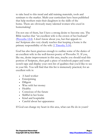to take heed to this trend and add training materials, tools and seminars to the market. Multi-year curriculum have been published that help mothers train their daughters in the skills of the home. There are obviously many talented women who excel in homemaking!

I'm not one of them, but I have a strong desire to become one. The Bible teaches that "an excellent wife is the crown of her husband" [\(Proverbs 12:4\)](http://www.biblegateway.com/passage/?search=Proverbs%2012:4&version=NIV). I don't know about you, but that appeals to me! Scripture also very clearly teaches that keeping a home is the primary responsibility of the wife [\(1 Timothy 5:14\)](http://www.biblegateway.com/passage/?search=1%20Timothy%205:14&version=NIV).

God has also been gracious enough to outline some of the duties of an excellent wife in the well-known poetry of Proverbs 31. If you, like me, desire improvement in this area, maybe you should read this portion of Scripture, then grab a piece of notebook paper and some scotch tape and display your own list of qualities that you'd like to see in your life. You will find that this list is immensely practical, for an excellent wife is:

- A hard worker
- Enterprising
- Diligent
- Wise with her money
- Healthy
- Conscious of the future
- Skillful in her home
- Kind and hospitable
- Careful about her appearance

If God can change my heart in this area, what can He do in yours?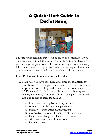## **A Quick-Start Guide to Decluttering**



I'm sure you're realizing that it will be tough to homeschool if you can't even step through the clutter in your living room. Becoming a good manager of your home is key to succeeding in homeschooling. I'll soon give you lots of principles to help you conquer clutter, but if you're wanting to get started today, here is a quick-start guide:

#### **First, I'd like you to make a time schedule.**

- Make sure you have scheduled *daily* times for **maintaining your home**. Don't forget to include times to cook meals, time to plan menus and shop, and time to do the dishes after EVERY meal! Don't forget to plan for doing laundry folding and putting it away as well as washing it! You should also add chores to each day such as…
	- $\Box$  Sunday touch up bathrooms, vacuum
	- $\Box$  Monday pay bills and file paperwork
	- $\Box$  Tuesday dust, water plants, vacuum
	- $\Box$  Wednesday clean bathrooms, empty garbage
	- $\Box$  Thursday change bed linens, mop floors
	- $\Box$  Friday do seasonal cleaning jobs
	- $\Box$  Saturday rest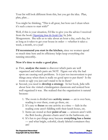Your list will look different from this, but you get the idea. Plan, plan, plan…

You might be thinking, "This is all great, but how can I clean when it's such a mess to start with?"

Well, if this is your situation, I'd like to give you the advice I received from the book *[Organizing from the Inside Out](http://astore.amazon.com/anneshomeyplace/detail/0805075895)*, by Julie Morgenstern. She tells us to take about an hour a day, each day, for as long as it takes to get your house in order — whether it takes a week, a month, or a year!

**I'd recommend you start in the kitchen,** since we women spend so much time here and its efficiency helps keep everything else running smoothly**.**

#### **Now it's time to make a good plan.**

- First, **analyze the room** to discover which parts are well organized and which parts are NOT. Figure out why the bad spots are causing such problems. Is it just too inconvenient to put things away when there is really no good spot to put them? Is the room so ugly you just can't stand to be in there?
- Second, you need to **develop a strategy**. In her book, Julie tells about how she visited a kindergarten classroom and noticed how well organized it was. She realized that the organization is natural because:
	- 1. The room is divided into **activity zones** art is over here, reading is over there, coats go there, etc.
	- 2. It's easy to **focus** on one activity at a time kids in the reading zone aren't fiddling with their lunch boxes, etc.
	- 3. Items are stored at their **point of use** scissors aren't with the Bob books, phonics charts aren't in the bathroom, etc.
	- 4. It's fun to put things away because **everything has a home** — and what bright, colorful, clearly labeled containers they are!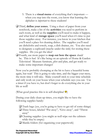- 5. There is a **visual menu** of everything that's important when you step into the room, you know that learning the alphabet is *important* to these students!
- Third, **define your zones.** Using a sheet of paper from your notebook, make a list of the **activities** you need to perform in each room, as well as the **supplies** you'll need to make it happen, and what kind of s**torage space** you'll need when it's time to put those supplies away. For instance, you know in your kitchen that you'll need a place for cleaning dishes. The supplies you'll need are dishcloths and towels, soap, a dish drainer, etc. You also need to designate a cupboard (maybe under the sink) for storing these supplies. Do you get the idea?
- Fourth, use more paper to **map out how the space** *should* be. This is fun! It's like being on an episode of Home & Garden Television! Measure furniture, plot and plan, and get ready to make some important changes!

Now you're probably chomping at the bit to have a beautiful home again, but wait! This is going to take time, and the bigger your mess, the more time it will take. Make yourself stick to your time schedule and only work on your house when your schedule says you can. Use a timer if you have to, but don't forget to do everything else in your life as well!

(What good practice this is in self-discipline!  $\bullet$ )

During your daily clean-up times, you might like to have the following supplies handy:

- Trash bags (yes, you're going to have to get rid of some things)
- Three boxes, labeled "Put away", "Give away", and "Throw away"
- $\Box$  Cleaning supplies (you might as well wipe out the cabinets while they're empty)
- $\Box$  Manila folders (for organizing your paperwork)